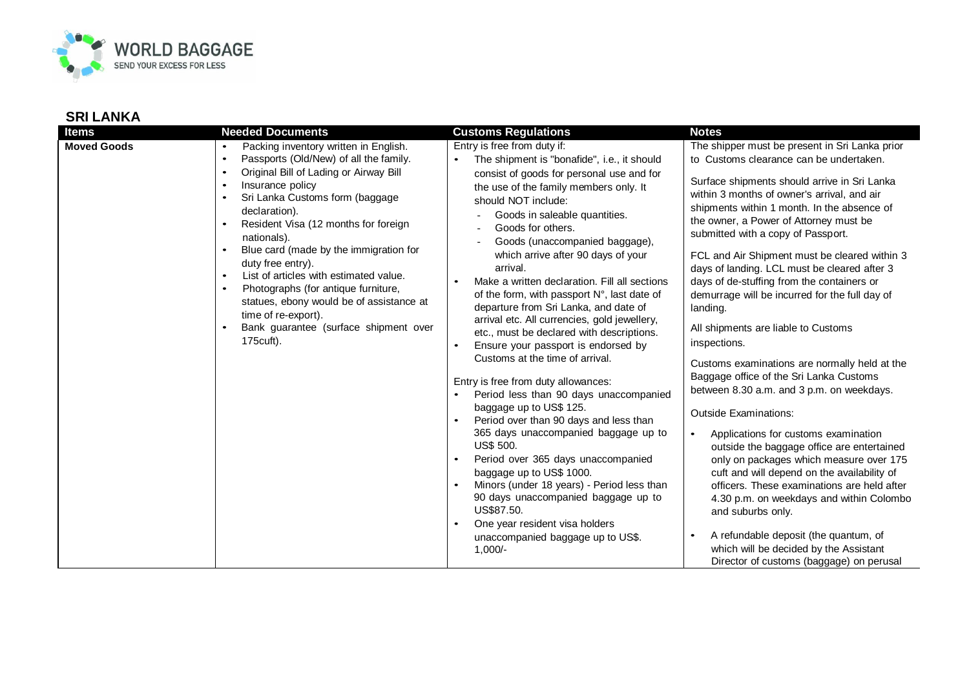

| <b>Items</b>       | <b>Needed Documents</b>                                                                                                                                                                                                                                                                                                                                                                                                                                                                                                                                                                                                      | <b>Customs Regulations</b>                                                                                                                                                                                                                                                                                                                                                                                                                                                                                                                                                                                                                                                                                                                                                                                                                                                                                                                                                                                                                                                                                             | <b>Notes</b>                                                                                                                                                                                                                                                                                                                                                                                                                                                                                                                                                                                                                                                                                                                                                                                                                                                                                                                                                                                                                                                                                                                                                                                        |
|--------------------|------------------------------------------------------------------------------------------------------------------------------------------------------------------------------------------------------------------------------------------------------------------------------------------------------------------------------------------------------------------------------------------------------------------------------------------------------------------------------------------------------------------------------------------------------------------------------------------------------------------------------|------------------------------------------------------------------------------------------------------------------------------------------------------------------------------------------------------------------------------------------------------------------------------------------------------------------------------------------------------------------------------------------------------------------------------------------------------------------------------------------------------------------------------------------------------------------------------------------------------------------------------------------------------------------------------------------------------------------------------------------------------------------------------------------------------------------------------------------------------------------------------------------------------------------------------------------------------------------------------------------------------------------------------------------------------------------------------------------------------------------------|-----------------------------------------------------------------------------------------------------------------------------------------------------------------------------------------------------------------------------------------------------------------------------------------------------------------------------------------------------------------------------------------------------------------------------------------------------------------------------------------------------------------------------------------------------------------------------------------------------------------------------------------------------------------------------------------------------------------------------------------------------------------------------------------------------------------------------------------------------------------------------------------------------------------------------------------------------------------------------------------------------------------------------------------------------------------------------------------------------------------------------------------------------------------------------------------------------|
| <b>Moved Goods</b> | Packing inventory written in English.<br>$\bullet$<br>Passports (Old/New) of all the family.<br>$\bullet$<br>Original Bill of Lading or Airway Bill<br>$\bullet$<br>Insurance policy<br>$\bullet$<br>Sri Lanka Customs form (baggage<br>declaration).<br>Resident Visa (12 months for foreign<br>$\bullet$<br>nationals).<br>Blue card (made by the immigration for<br>duty free entry).<br>List of articles with estimated value.<br>$\bullet$<br>Photographs (for antique furniture,<br>$\bullet$<br>statues, ebony would be of assistance at<br>time of re-export).<br>Bank guarantee (surface shipment over<br>175cuft). | Entry is free from duty if:<br>The shipment is "bonafide", i.e., it should<br>consist of goods for personal use and for<br>the use of the family members only. It<br>should NOT include:<br>Goods in saleable quantities.<br>Goods for others.<br>Goods (unaccompanied baggage),<br>which arrive after 90 days of your<br>arrival.<br>Make a written declaration. Fill all sections<br>of the form, with passport N°, last date of<br>departure from Sri Lanka, and date of<br>arrival etc. All currencies, gold jewellery,<br>etc., must be declared with descriptions.<br>Ensure your passport is endorsed by<br>Customs at the time of arrival.<br>Entry is free from duty allowances:<br>Period less than 90 days unaccompanied<br>baggage up to US\$ 125.<br>Period over than 90 days and less than<br>365 days unaccompanied baggage up to<br>US\$ 500.<br>Period over 365 days unaccompanied<br>baggage up to US\$ 1000.<br>Minors (under 18 years) - Period less than<br>90 days unaccompanied baggage up to<br>US\$87.50.<br>One year resident visa holders<br>unaccompanied baggage up to US\$.<br>$1,000/-$ | The shipper must be present in Sri Lanka prior<br>to Customs clearance can be undertaken.<br>Surface shipments should arrive in Sri Lanka<br>within 3 months of owner's arrival, and air<br>shipments within 1 month. In the absence of<br>the owner, a Power of Attorney must be<br>submitted with a copy of Passport.<br>FCL and Air Shipment must be cleared within 3<br>days of landing. LCL must be cleared after 3<br>days of de-stuffing from the containers or<br>demurrage will be incurred for the full day of<br>landing.<br>All shipments are liable to Customs<br>inspections.<br>Customs examinations are normally held at the<br>Baggage office of the Sri Lanka Customs<br>between 8.30 a.m. and 3 p.m. on weekdays.<br><b>Outside Examinations:</b><br>Applications for customs examination<br>outside the baggage office are entertained<br>only on packages which measure over 175<br>cuft and will depend on the availability of<br>officers. These examinations are held after<br>4.30 p.m. on weekdays and within Colombo<br>and suburbs only.<br>A refundable deposit (the quantum, of<br>which will be decided by the Assistant<br>Director of customs (baggage) on perusal |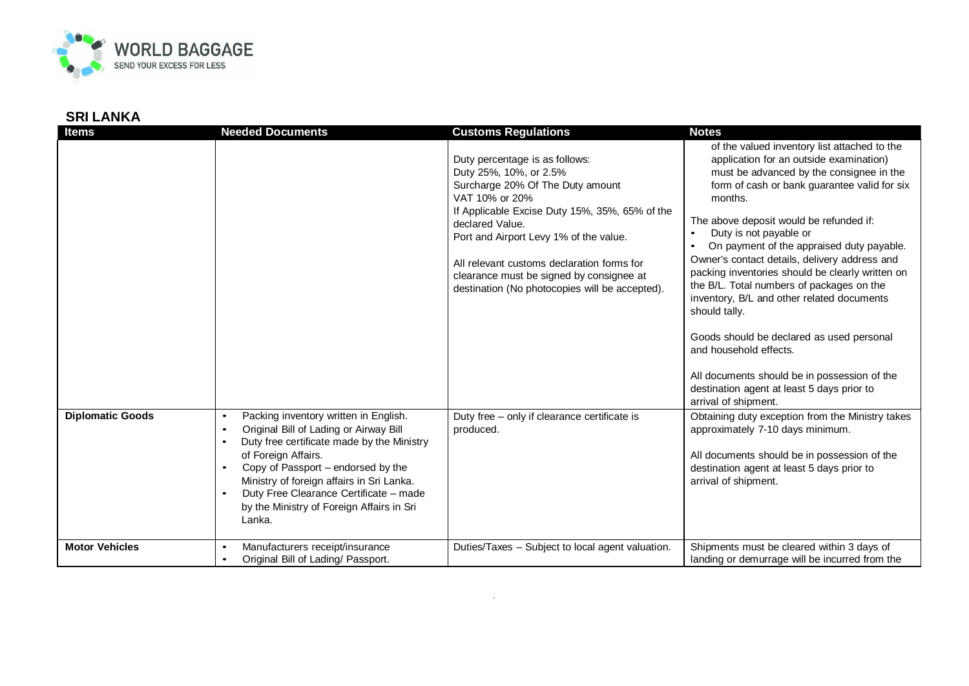

| <b>Items</b>            | <b>Needed Documents</b>                                                                                                                                                                                                                                                                     | <b>Customs Regulations</b>                                                                                                                                                                                                                                                                                                                                                                                                             | <b>Notes</b>                                                                                                                                                                                                                                                                                                                                                                                                                                                                                                                                                                                                                                                                                                                                                                                                                                                                                                                                 |
|-------------------------|---------------------------------------------------------------------------------------------------------------------------------------------------------------------------------------------------------------------------------------------------------------------------------------------|----------------------------------------------------------------------------------------------------------------------------------------------------------------------------------------------------------------------------------------------------------------------------------------------------------------------------------------------------------------------------------------------------------------------------------------|----------------------------------------------------------------------------------------------------------------------------------------------------------------------------------------------------------------------------------------------------------------------------------------------------------------------------------------------------------------------------------------------------------------------------------------------------------------------------------------------------------------------------------------------------------------------------------------------------------------------------------------------------------------------------------------------------------------------------------------------------------------------------------------------------------------------------------------------------------------------------------------------------------------------------------------------|
| <b>Diplomatic Goods</b> | Packing inventory written in English.<br>$\bullet$<br>Original Bill of Lading or Airway Bill<br>$\bullet$<br>Duty free certificate made by the Ministry<br>$\bullet$<br>of Foreign Affairs.<br>Copy of Passport - endorsed by the<br>$\bullet$<br>Ministry of foreign affairs in Sri Lanka. | Duty percentage is as follows:<br>Duty 25%, 10%, or 2.5%<br>Surcharge 20% Of The Duty amount<br>VAT 10% or 20%<br>If Applicable Excise Duty 15%, 35%, 65% of the<br>declared Value.<br>Port and Airport Levy 1% of the value.<br>All relevant customs declaration forms for<br>clearance must be signed by consignee at<br>destination (No photocopies will be accepted).<br>Duty free - only if clearance certificate is<br>produced. | of the valued inventory list attached to the<br>application for an outside examination)<br>must be advanced by the consignee in the<br>form of cash or bank guarantee valid for six<br>months.<br>The above deposit would be refunded if:<br>Duty is not payable or<br>On payment of the appraised duty payable.<br>Owner's contact details, delivery address and<br>packing inventories should be clearly written on<br>the B/L. Total numbers of packages on the<br>inventory, B/L and other related documents<br>should tally.<br>Goods should be declared as used personal<br>and household effects.<br>All documents should be in possession of the<br>destination agent at least 5 days prior to<br>arrival of shipment.<br>Obtaining duty exception from the Ministry takes<br>approximately 7-10 days minimum.<br>All documents should be in possession of the<br>destination agent at least 5 days prior to<br>arrival of shipment. |
| <b>Motor Vehicles</b>   | Duty Free Clearance Certificate - made<br>$\bullet$<br>by the Ministry of Foreign Affairs in Sri<br>Lanka.                                                                                                                                                                                  |                                                                                                                                                                                                                                                                                                                                                                                                                                        |                                                                                                                                                                                                                                                                                                                                                                                                                                                                                                                                                                                                                                                                                                                                                                                                                                                                                                                                              |
|                         | Manufacturers receipt/insurance<br>$\bullet$<br>Original Bill of Lading/ Passport.<br>$\bullet$                                                                                                                                                                                             | Duties/Taxes - Subject to local agent valuation.                                                                                                                                                                                                                                                                                                                                                                                       | Shipments must be cleared within 3 days of<br>landing or demurrage will be incurred from the                                                                                                                                                                                                                                                                                                                                                                                                                                                                                                                                                                                                                                                                                                                                                                                                                                                 |

.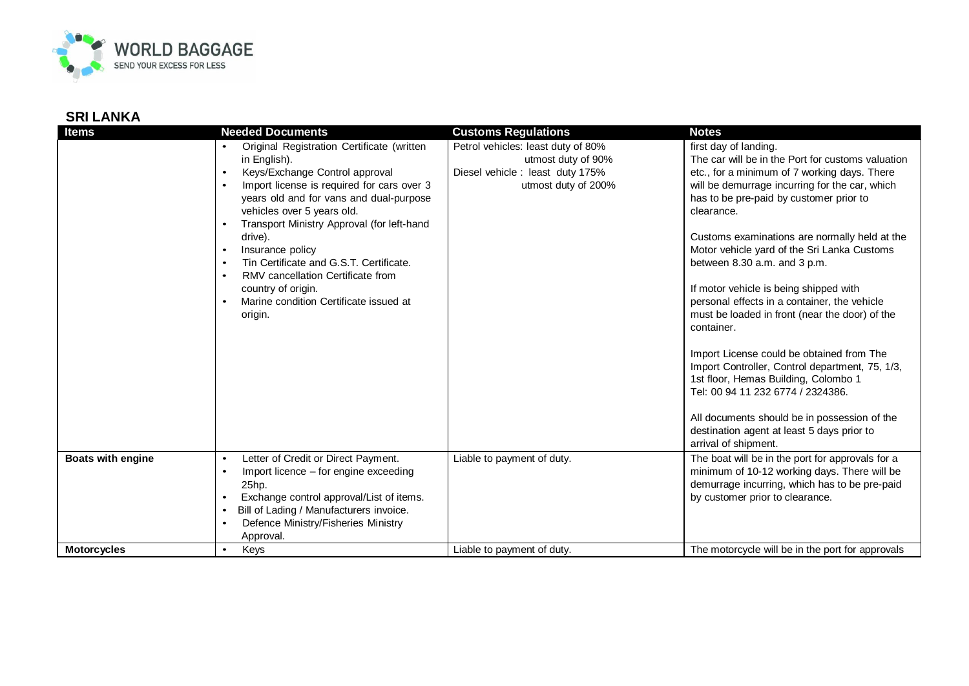

| Items                    | <b>Needed Documents</b>                                                                                                                                                                                                                                                                                                                                                                                                                                                                                                                                                          | <b>Customs Regulations</b>                                                                                                                        | <b>Notes</b>                                                                                                                                                                                                                                                                                                                                                                                                                                                                                                                                                                                                                                                                                                                                                                                                                                                                           |
|--------------------------|----------------------------------------------------------------------------------------------------------------------------------------------------------------------------------------------------------------------------------------------------------------------------------------------------------------------------------------------------------------------------------------------------------------------------------------------------------------------------------------------------------------------------------------------------------------------------------|---------------------------------------------------------------------------------------------------------------------------------------------------|----------------------------------------------------------------------------------------------------------------------------------------------------------------------------------------------------------------------------------------------------------------------------------------------------------------------------------------------------------------------------------------------------------------------------------------------------------------------------------------------------------------------------------------------------------------------------------------------------------------------------------------------------------------------------------------------------------------------------------------------------------------------------------------------------------------------------------------------------------------------------------------|
| <b>Boats with engine</b> | Original Registration Certificate (written<br>in English).<br>Keys/Exchange Control approval<br>$\bullet$<br>Import license is required for cars over 3<br>$\bullet$<br>years old and for vans and dual-purpose<br>vehicles over 5 years old.<br>Transport Ministry Approval (for left-hand<br>drive).<br>Insurance policy<br>$\bullet$<br>Tin Certificate and G.S.T. Certificate.<br>$\bullet$<br>RMV cancellation Certificate from<br>country of origin.<br>Marine condition Certificate issued at<br>$\bullet$<br>origin.<br>Letter of Credit or Direct Payment.<br>$\bullet$ | Petrol vehicles: least duty of 80%<br>utmost duty of 90%<br>Diesel vehicle : least duty 175%<br>utmost duty of 200%<br>Liable to payment of duty. | first day of landing.<br>The car will be in the Port for customs valuation<br>etc., for a minimum of 7 working days. There<br>will be demurrage incurring for the car, which<br>has to be pre-paid by customer prior to<br>clearance.<br>Customs examinations are normally held at the<br>Motor vehicle yard of the Sri Lanka Customs<br>between 8.30 a.m. and 3 p.m.<br>If motor vehicle is being shipped with<br>personal effects in a container, the vehicle<br>must be loaded in front (near the door) of the<br>container.<br>Import License could be obtained from The<br>Import Controller, Control department, 75, 1/3,<br>1st floor, Hemas Building, Colombo 1<br>Tel: 00 94 11 232 6774 / 2324386.<br>All documents should be in possession of the<br>destination agent at least 5 days prior to<br>arrival of shipment.<br>The boat will be in the port for approvals for a |
|                          | Import licence – for engine exceeding<br>$\bullet$<br>25hp.<br>Exchange control approval/List of items.<br>$\bullet$<br>Bill of Lading / Manufacturers invoice.<br>$\bullet$<br>Defence Ministry/Fisheries Ministry<br>Approval.                                                                                                                                                                                                                                                                                                                                                 |                                                                                                                                                   | minimum of 10-12 working days. There will be<br>demurrage incurring, which has to be pre-paid<br>by customer prior to clearance.                                                                                                                                                                                                                                                                                                                                                                                                                                                                                                                                                                                                                                                                                                                                                       |
| <b>Motorcycles</b>       | Keys<br>$\bullet$                                                                                                                                                                                                                                                                                                                                                                                                                                                                                                                                                                | Liable to payment of duty.                                                                                                                        | The motorcycle will be in the port for approvals                                                                                                                                                                                                                                                                                                                                                                                                                                                                                                                                                                                                                                                                                                                                                                                                                                       |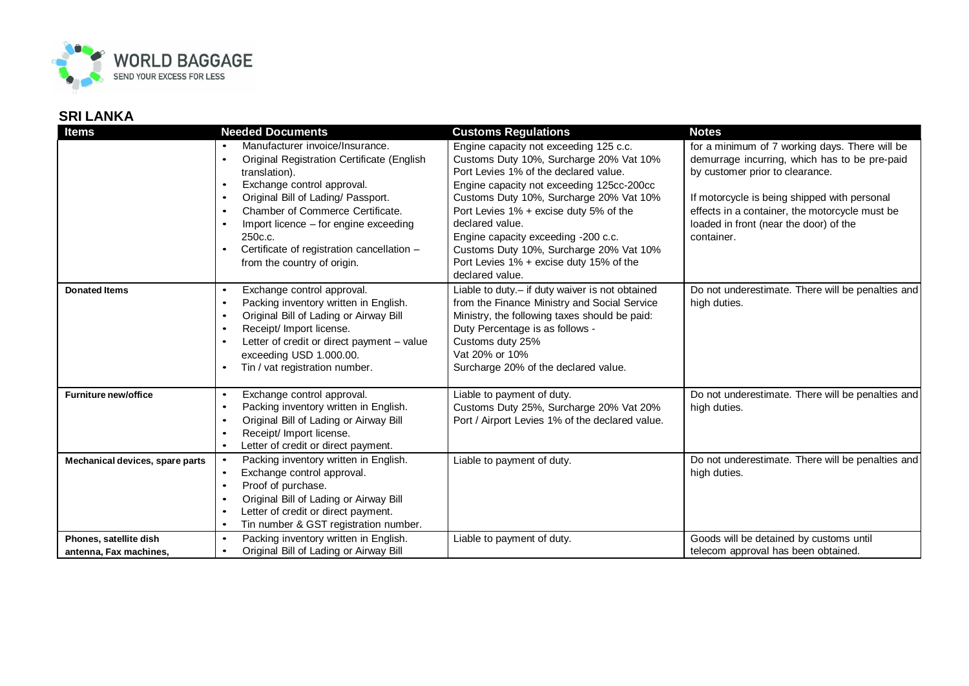

| <b>Items</b>                                     | <b>Needed Documents</b>                                                                                                                                                                                                                                                                                               | <b>Customs Regulations</b>                                                                                                                                                                                                                                        | <b>Notes</b>                                                                                                                                           |
|--------------------------------------------------|-----------------------------------------------------------------------------------------------------------------------------------------------------------------------------------------------------------------------------------------------------------------------------------------------------------------------|-------------------------------------------------------------------------------------------------------------------------------------------------------------------------------------------------------------------------------------------------------------------|--------------------------------------------------------------------------------------------------------------------------------------------------------|
|                                                  | Manufacturer invoice/Insurance.<br>Original Registration Certificate (English<br>$\bullet$<br>translation).<br>Exchange control approval.<br>$\bullet$                                                                                                                                                                | Engine capacity not exceeding 125 c.c.<br>Customs Duty 10%, Surcharge 20% Vat 10%<br>Port Levies 1% of the declared value.<br>Engine capacity not exceeding 125cc-200cc                                                                                           | for a minimum of 7 working days. There will be<br>demurrage incurring, which has to be pre-paid<br>by customer prior to clearance.                     |
|                                                  | Original Bill of Lading/ Passport.<br>$\bullet$<br>Chamber of Commerce Certificate.<br>$\bullet$<br>Import licence - for engine exceeding<br>250c.c.<br>Certificate of registration cancellation -<br>$\bullet$<br>from the country of origin.                                                                        | Customs Duty 10%, Surcharge 20% Vat 10%<br>Port Levies 1% + excise duty 5% of the<br>declared value.<br>Engine capacity exceeding -200 c.c.<br>Customs Duty 10%, Surcharge 20% Vat 10%<br>Port Levies 1% + excise duty 15% of the<br>declared value.              | If motorcycle is being shipped with personal<br>effects in a container, the motorcycle must be<br>loaded in front (near the door) of the<br>container. |
| <b>Donated Items</b>                             | Exchange control approval.<br>$\bullet$<br>Packing inventory written in English.<br>$\bullet$<br>Original Bill of Lading or Airway Bill<br>$\bullet$<br>Receipt/ Import license.<br>$\bullet$<br>Letter of credit or direct payment - value<br>$\bullet$<br>exceeding USD 1.000.00.<br>Tin / vat registration number. | Liable to duty.- if duty waiver is not obtained<br>from the Finance Ministry and Social Service<br>Ministry, the following taxes should be paid:<br>Duty Percentage is as follows -<br>Customs duty 25%<br>Vat 20% or 10%<br>Surcharge 20% of the declared value. | Do not underestimate. There will be penalties and<br>high duties.                                                                                      |
| <b>Furniture new/office</b>                      | Exchange control approval.<br>$\bullet$<br>Packing inventory written in English.<br>$\bullet$<br>Original Bill of Lading or Airway Bill<br>$\bullet$<br>Receipt/ Import license.<br>$\bullet$<br>Letter of credit or direct payment.<br>$\bullet$                                                                     | Liable to payment of duty.<br>Customs Duty 25%, Surcharge 20% Vat 20%<br>Port / Airport Levies 1% of the declared value.                                                                                                                                          | Do not underestimate. There will be penalties and<br>high duties.                                                                                      |
| Mechanical devices, spare parts                  | Packing inventory written in English.<br>$\bullet$<br>Exchange control approval.<br>$\bullet$<br>Proof of purchase.<br>$\bullet$<br>Original Bill of Lading or Airway Bill<br>$\bullet$<br>Letter of credit or direct payment.<br>$\bullet$<br>Tin number & GST registration number.<br>$\bullet$                     | Liable to payment of duty.                                                                                                                                                                                                                                        | Do not underestimate. There will be penalties and<br>high duties.                                                                                      |
| Phones, satellite dish<br>antenna, Fax machines, | Packing inventory written in English.<br>$\bullet$<br>Original Bill of Lading or Airway Bill<br>$\bullet$                                                                                                                                                                                                             | Liable to payment of duty.                                                                                                                                                                                                                                        | Goods will be detained by customs until<br>telecom approval has been obtained.                                                                         |